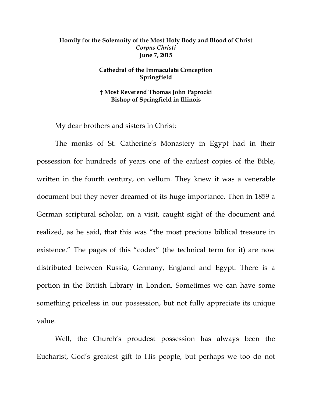## **Homily for the Solemnity of the Most Holy Body and Blood of Christ**  *Corpus Christi* **June 7, 2015**

## **Cathedral of the Immaculate Conception Springfield**

## **† Most Reverend Thomas John Paprocki Bishop of Springfield in Illinois**

My dear brothers and sisters in Christ:

The monks of St. Catherine's Monastery in Egypt had in their possession for hundreds of years one of the earliest copies of the Bible, written in the fourth century, on vellum. They knew it was a venerable document but they never dreamed of its huge importance. Then in 1859 a German scriptural scholar, on a visit, caught sight of the document and realized, as he said, that this was "the most precious biblical treasure in existence." The pages of this "codex" (the technical term for it) are now distributed between Russia, Germany, England and Egypt. There is a portion in the British Library in London. Sometimes we can have some something priceless in our possession, but not fully appreciate its unique value.

Well, the Church's proudest possession has always been the Eucharist, God's greatest gift to His people, but perhaps we too do not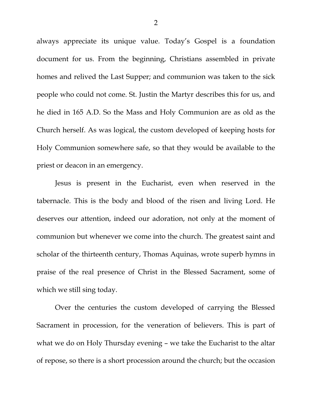always appreciate its unique value. Today's Gospel is a foundation document for us. From the beginning, Christians assembled in private homes and relived the Last Supper; and communion was taken to the sick people who could not come. St. Justin the Martyr describes this for us, and he died in 165 A.D. So the Mass and Holy Communion are as old as the Church herself. As was logical, the custom developed of keeping hosts for Holy Communion somewhere safe, so that they would be available to the priest or deacon in an emergency.

Jesus is present in the Eucharist, even when reserved in the tabernacle. This is the body and blood of the risen and living Lord. He deserves our attention, indeed our adoration, not only at the moment of communion but whenever we come into the church. The greatest saint and scholar of the thirteenth century, Thomas Aquinas, wrote superb hymns in praise of the real presence of Christ in the Blessed Sacrament, some of which we still sing today.

Over the centuries the custom developed of carrying the Blessed Sacrament in procession, for the veneration of believers. This is part of what we do on Holy Thursday evening – we take the Eucharist to the altar of repose, so there is a short procession around the church; but the occasion

2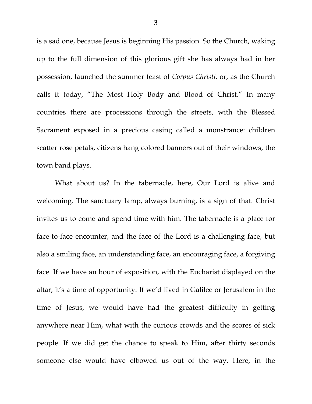is a sad one, because Jesus is beginning His passion. So the Church, waking up to the full dimension of this glorious gift she has always had in her possession, launched the summer feast of *Corpus Christi*, or, as the Church calls it today, "The Most Holy Body and Blood of Christ." In many countries there are processions through the streets, with the Blessed Sacrament exposed in a precious casing called a monstrance: children scatter rose petals, citizens hang colored banners out of their windows, the town band plays.

What about us? In the tabernacle, here, Our Lord is alive and welcoming. The sanctuary lamp, always burning, is a sign of that. Christ invites us to come and spend time with him. The tabernacle is a place for face-to-face encounter, and the face of the Lord is a challenging face, but also a smiling face, an understanding face, an encouraging face, a forgiving face. If we have an hour of exposition, with the Eucharist displayed on the altar, it's a time of opportunity. If we'd lived in Galilee or Jerusalem in the time of Jesus, we would have had the greatest difficulty in getting anywhere near Him, what with the curious crowds and the scores of sick people. If we did get the chance to speak to Him, after thirty seconds someone else would have elbowed us out of the way. Here, in the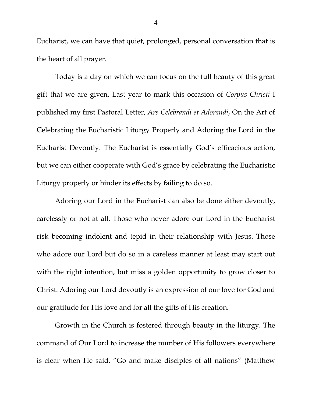Eucharist, we can have that quiet, prolonged, personal conversation that is the heart of all prayer.

Today is a day on which we can focus on the full beauty of this great gift that we are given. Last year to mark this occasion of *Corpus Christi* I published my first Pastoral Letter, *Ars Celebrandi et Adorandi*, On the Art of Celebrating the Eucharistic Liturgy Properly and Adoring the Lord in the Eucharist Devoutly. The Eucharist is essentially God's efficacious action, but we can either cooperate with God's grace by celebrating the Eucharistic Liturgy properly or hinder its effects by failing to do so.

Adoring our Lord in the Eucharist can also be done either devoutly, carelessly or not at all. Those who never adore our Lord in the Eucharist risk becoming indolent and tepid in their relationship with Jesus. Those who adore our Lord but do so in a careless manner at least may start out with the right intention, but miss a golden opportunity to grow closer to Christ. Adoring our Lord devoutly is an expression of our love for God and our gratitude for His love and for all the gifts of His creation.

Growth in the Church is fostered through beauty in the liturgy. The command of Our Lord to increase the number of His followers everywhere is clear when He said, "Go and make disciples of all nations" (Matthew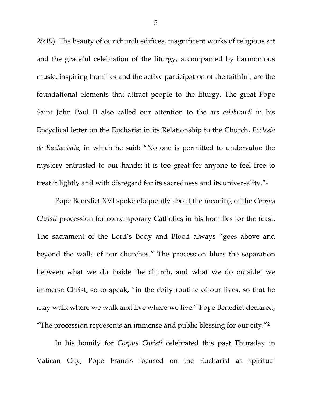28:19). The beauty of our church edifices, magnificent works of religious art and the graceful celebration of the liturgy, accompanied by harmonious music, inspiring homilies and the active participation of the faithful, are the foundational elements that attract people to the liturgy. The great Pope Saint John Paul II also called our attention to the *ars celebrandi* in his Encyclical letter on the Eucharist in its Relationship to the Church, *Ecclesia de Eucharistia*, in which he said: "No one is permitted to undervalue the mystery entrusted to our hands: it is too great for anyone to feel free to treat it lightly and with disregard for its sacredness and its universality."1

 Pope Benedict XVI spoke eloquently about the meaning of the *Corpus Christi procession for contemporary Catholics in his homilies for the feast.* The sacrament of the Lord's Body and Blood always "goes above and beyond the walls of our churches." The procession blurs the separation between what we do inside the church, and what we do outside: we immerse Christ, so to speak, "in the daily routine of our lives, so that he may walk where we walk and live where we live." Pope Benedict declared, "The procession represents an immense and public blessing for our city."2

 In his homily for *Corpus Christi* celebrated this past Thursday in Vatican City, Pope Francis focused on the Eucharist as spiritual

5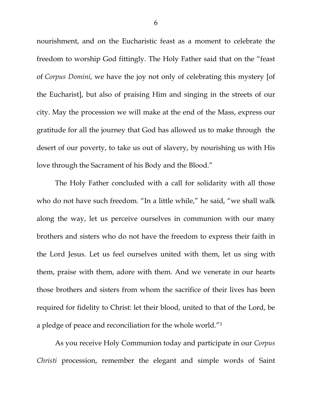nourishment, and on the Eucharistic feast as a moment to celebrate the freedom to worship God fittingly. The Holy Father said that on the "feast of *Corpus Domini*, we have the joy not only of celebrating this mystery [of the Eucharist], but also of praising Him and singing in the streets of our city. May the procession we will make at the end of the Mass, express our gratitude for all the journey that God has allowed us to make through the desert of our poverty, to take us out of slavery, by nourishing us with His love through the Sacrament of his Body and the Blood."

 The Holy Father concluded with a call for solidarity with all those who do not have such freedom. "In a little while," he said, "we shall walk along the way, let us perceive ourselves in communion with our many brothers and sisters who do not have the freedom to express their faith in the Lord Jesus. Let us feel ourselves united with them, let us sing with them, praise with them, adore with them. And we venerate in our hearts those brothers and sisters from whom the sacrifice of their lives has been required for fidelity to Christ: let their blood, united to that of the Lord, be a pledge of peace and reconciliation for the whole world."3

As you receive Holy Communion today and participate in our *Corpus Christi* procession, remember the elegant and simple words of Saint